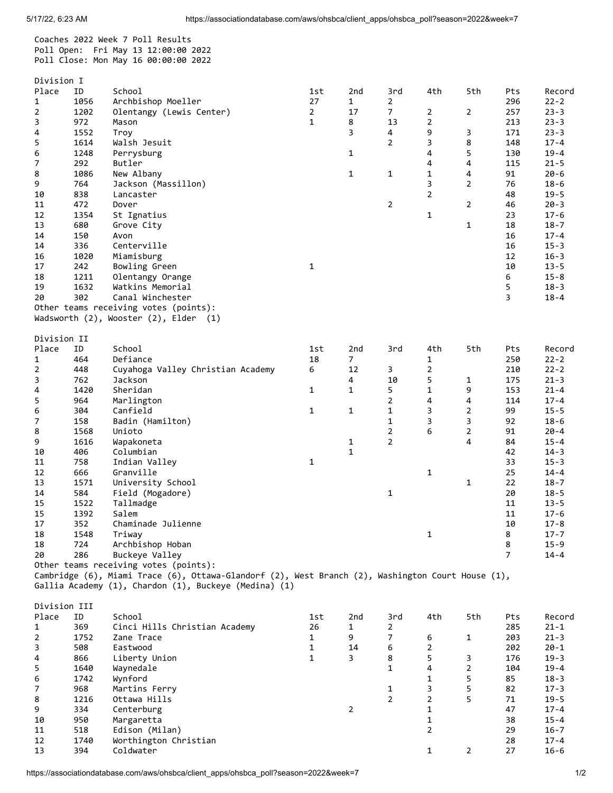Division I

Place ID School 1st 2nd 3rd 4th 5th Pts Record

Coaches 2022 Week 7 Poll Results Poll Open: Fri May 13 12:00:00 2022 Poll Close: Mon May 16 00:00:00 2022

| $\mathbf{1}$ | 1056 | Archbishop Moeller                                                                                | 27             | $\mathbf{1}$   | $\overline{2}$ |                |                | 296            | $22 - 2$ |
|--------------|------|---------------------------------------------------------------------------------------------------|----------------|----------------|----------------|----------------|----------------|----------------|----------|
| 2            | 1202 | Olentangy (Lewis Center)                                                                          | $\overline{2}$ | 17             | 7              | 2              | $\overline{2}$ | 257            | $23 - 3$ |
| 3            | 972  | Mason                                                                                             | $\mathbf{1}$   | 8              | 13             | $\overline{c}$ |                | 213            | $23 - 3$ |
| 4            | 1552 | Troy                                                                                              |                | 3              | 4              | 9              | 3              | 171            | $23 - 3$ |
| 5            | 1614 | Walsh Jesuit                                                                                      |                |                | $\overline{2}$ | 3              | 8              | 148            | $17 - 4$ |
| 6            | 1248 |                                                                                                   |                | $\mathbf{1}$   |                | 4              | 5              | 130            | $19 - 4$ |
|              | 292  | Perrysburg<br>Butler                                                                              |                |                |                | 4              | 4              | 115            | $21 - 5$ |
| 7            |      |                                                                                                   |                |                |                |                |                |                |          |
| 8            | 1086 | New Albany                                                                                        |                | $\mathbf{1}$   | 1              | $\mathbf{1}$   | 4              | 91             | $20 - 6$ |
| 9            | 764  | Jackson (Massillon)                                                                               |                |                |                | 3              | $\overline{2}$ | 76             | $18 - 6$ |
| 10           | 838  | Lancaster                                                                                         |                |                |                | $\overline{2}$ |                | 48             | $19 - 5$ |
| 11           | 472  | Dover                                                                                             |                |                | 2              |                | $\overline{2}$ | 46             | $20 - 3$ |
| 12           | 1354 | St Ignatius                                                                                       |                |                |                | $\mathbf{1}$   |                | 23             | $17 - 6$ |
| 13           | 680  | Grove City                                                                                        |                |                |                |                | $\mathbf{1}$   | 18             | $18 - 7$ |
| 14           | 150  | Avon                                                                                              |                |                |                |                |                | 16             | $17 - 4$ |
| 14           | 336  | Centerville                                                                                       |                |                |                |                |                | 16             | $15 - 3$ |
| 16           | 1020 | Miamisburg                                                                                        |                |                |                |                |                | 12             | $16 - 3$ |
| 17           | 242  | Bowling Green                                                                                     | 1              |                |                |                |                | 10             | $13 - 5$ |
|              |      |                                                                                                   |                |                |                |                |                |                |          |
| 18           | 1211 | Olentangy Orange                                                                                  |                |                |                |                |                | 6              | $15 - 8$ |
| 19           | 1632 | Watkins Memorial                                                                                  |                |                |                |                |                | 5              | $18 - 3$ |
| 20           | 302  | Canal Winchester                                                                                  |                |                |                |                |                | 3              | $18 - 4$ |
|              |      | Other teams receiving votes (points):                                                             |                |                |                |                |                |                |          |
|              |      | Wadsworth (2), Wooster (2), Elder (1)                                                             |                |                |                |                |                |                |          |
|              |      |                                                                                                   |                |                |                |                |                |                |          |
| Division II  |      |                                                                                                   |                |                |                |                |                |                |          |
| Place        | ID   | School                                                                                            | 1st            | 2nd            | 3rd            | 4th            | 5th            | Pts            | Record   |
| 1            | 464  | Defiance                                                                                          | 18             | $\overline{7}$ |                | $\mathbf{1}$   |                | 250            | $22 - 2$ |
| 2            | 448  | Cuyahoga Valley Christian Academy                                                                 | 6              | 12             | 3              | $\overline{2}$ |                | 210            | $22 - 2$ |
| 3            | 762  | Jackson                                                                                           |                | 4              | 10             | 5              | 1              | 175            | $21 - 3$ |
|              |      |                                                                                                   |                |                |                |                |                |                |          |
| 4            | 1420 | Sheridan                                                                                          | 1              | $\mathbf{1}$   | 5              | $\mathbf{1}$   | 9              | 153            | $21 - 4$ |
| 5            | 964  | Marlington                                                                                        |                |                | 2              | 4              | 4              | 114            | $17 - 4$ |
| 6            | 304  | Canfield                                                                                          | 1              | $\mathbf{1}$   | 1              | 3              | $\overline{2}$ | 99             | $15 - 5$ |
| 7            | 158  | Badin (Hamilton)                                                                                  |                |                | 1              | 3              | 3              | 92             | $18 - 6$ |
| 8            | 1568 | Unioto                                                                                            |                |                | $\overline{2}$ | 6              | $\overline{2}$ | 91             | $20 - 4$ |
| 9            | 1616 | Wapakoneta                                                                                        |                | $\mathbf{1}$   | $\overline{2}$ |                | 4              | 84             | $15 - 4$ |
| 10           | 406  | Columbian                                                                                         |                | $\mathbf{1}$   |                |                |                | 42             | $14 - 3$ |
| 11           | 758  | Indian Valley                                                                                     | 1              |                |                |                |                | 33             | $15 - 3$ |
|              |      |                                                                                                   |                |                |                |                |                |                |          |
|              |      |                                                                                                   |                |                |                |                |                |                |          |
| 12           | 666  | Granville                                                                                         |                |                |                | $\mathbf{1}$   |                | 25             | $14 - 4$ |
| 13           | 1571 | University School                                                                                 |                |                |                |                | $\mathbf{1}$   | 22             | $18 - 7$ |
| 14           | 584  | Field (Mogadore)                                                                                  |                |                | 1              |                |                | 20             | $18 - 5$ |
| 15           | 1522 | Tallmadge                                                                                         |                |                |                |                |                | 11             | $13 - 5$ |
| 15           | 1392 | Salem                                                                                             |                |                |                |                |                | 11             | $17 - 6$ |
| 17           | 352  | Chaminade Julienne                                                                                |                |                |                |                |                | 10             | $17 - 8$ |
| 18           | 1548 | Triway                                                                                            |                |                |                | 1              |                | 8              | $17 - 7$ |
| 18           | 724  | Archbishop Hoban                                                                                  |                |                |                |                |                | 8              | $15 - 9$ |
| 20           | 286  | Buckeye Valley                                                                                    |                |                |                |                |                | $\overline{7}$ | $14 - 4$ |
|              |      | Other teams receiving votes (points):                                                             |                |                |                |                |                |                |          |
|              |      |                                                                                                   |                |                |                |                |                |                |          |
|              |      | Cambridge (6), Miami Trace (6), Ottawa-Glandorf (2), West Branch (2), Washington Court House (1), |                |                |                |                |                |                |          |
|              |      | Gallia Academy (1), Chardon (1), Buckeye (Medina) (1)                                             |                |                |                |                |                |                |          |
|              |      |                                                                                                   |                |                |                |                |                |                |          |
| Division III |      |                                                                                                   |                |                |                |                |                |                |          |
| Place        | ID   | School                                                                                            | 1st            | 2nd            | 3rd            | 4th            | 5th            | Pts            | Record   |
| 1            | 369  | Cinci Hills Christian Academy                                                                     | 26             | 1              | 2              |                |                | 285            | $21 - 1$ |
| 2            | 1752 | Zane Trace                                                                                        | 1              | 9              | 7              | 6              | $\mathbf{1}$   | 203            | $21 - 3$ |
| 3            | 508  | Eastwood                                                                                          | 1              | 14             | 6              | 2              |                | 202            | $20 - 1$ |
| 4            | 866  | Liberty Union                                                                                     | $\mathbf{1}$   | 3              | 8              | 5              | 3              | 176            | $19 - 3$ |
| 5            | 1640 | Waynedale                                                                                         |                |                | $\mathbf{1}$   | 4              | $\overline{2}$ | 104            | $19 - 4$ |
| 6            | 1742 | Wynford                                                                                           |                |                |                | $\mathbf{1}$   | 5              | 85             | $18 - 3$ |
| 7            |      |                                                                                                   |                |                | 1              | 3              | 5              |                | $17 - 3$ |
| 8            | 968  | Martins Ferry<br>Ottawa Hills                                                                     |                |                | $\overline{2}$ | $\overline{2}$ | 5              | 82             |          |
|              | 1216 |                                                                                                   |                |                |                |                |                | 71             | $19 - 5$ |
| 9            | 334  | Centerburg                                                                                        |                | $\overline{2}$ |                | $\mathbf 1$    |                | 47             | $17 - 4$ |
| 10           | 950  | Margaretta                                                                                        |                |                |                | 1              |                | 38             | $15 - 4$ |
| 11           | 518  | Edison (Milan)                                                                                    |                |                |                | $\overline{2}$ |                | 29             | $16 - 7$ |
| 12           | 1740 | Worthington Christian                                                                             |                |                |                |                |                | 28             | $17 - 4$ |
| 13           | 394  | Coldwater                                                                                         |                |                |                | $\mathbf{1}$   | $\overline{2}$ | 27             | $16 - 6$ |